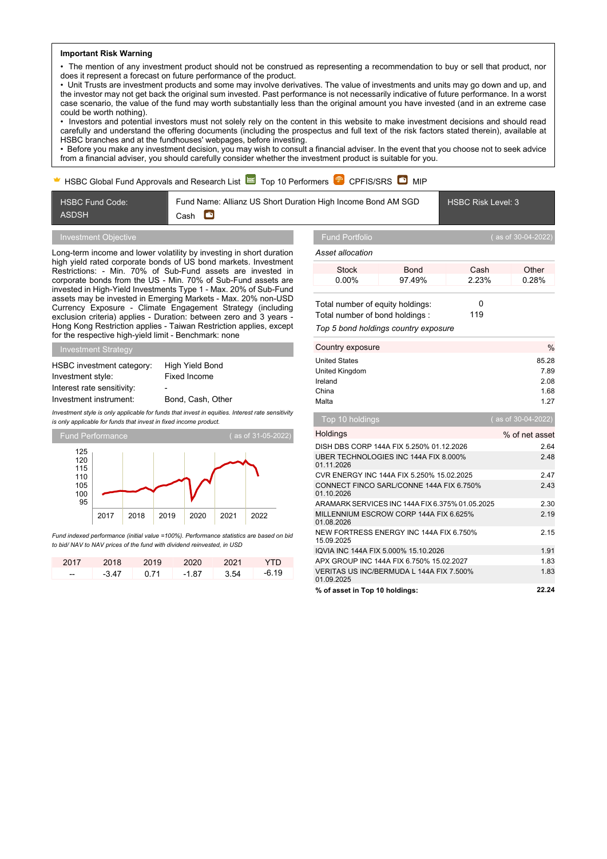### **Important Risk Warning**

• The mention of any investment product should not be construed as representing a recommendation to buy or sell that product, nor does it represent a forecast on future performance of the product.

• Unit Trusts are investment products and some may involve derivatives. The value of investments and units may go down and up, and the investor may not get back the original sum invested. Past performance is not necessarily indicative of future performance. In a worst case scenario, the value of the fund may worth substantially less than the original amount you have invested (and in an extreme case could be worth nothing).

• Investors and potential investors must not solely rely on the content in this website to make investment decisions and should read carefully and understand the offering documents (including the prospectus and full text of the risk factors stated therein), available at HSBC branches and at the fundhouses' webpages, before investing.

• Before you make any investment decision, you may wish to consult a financial adviser. In the event that you choose not to seek advice from a financial adviser, you should carefully consider whether the investment product is suitable for you.

## HSBC Global Fund Approvals and Research List  $\approx$  Top 10 Performers  $\mathbb{P}$  CPFIS/SRS  $\bullet$  MIP

Fund Name: Allianz US Short Duration High Income Bond AM SGD **Simple** Cash

HSBC Risk Level: 3

## Investment Objective

HSBC Fund Code:

ASDSH

Long-term income and lower volatility by investing in short duration high yield rated corporate bonds of US bond markets. Investment Restrictions: - Min. 70% of Sub-Fund assets are invested in corporate bonds from the US - Min. 70% of Sub-Fund assets are invested in High-Yield Investments Type 1 - Max. 20% of Sub-Fund assets may be invested in Emerging Markets - Max. 20% non-USD Currency Exposure - Climate Engagement Strategy (including exclusion criteria) applies - Duration: between zero and 3 years - Hong Kong Restriction applies - Taiwan Restriction applies, except for the respective high-yield limit - Benchmark: none

Investment Strategy

| HSBC investment category:  | High Yield Bond   |
|----------------------------|-------------------|
| Investment style:          | Fixed Income      |
| Interest rate sensitivity: | ۰                 |
| Investment instrument:     | Bond, Cash, Other |

*Investment style is only applicable for funds that invest in equities. Interest rate sensitivity*

*is only applicable for funds that invest in fixed income product.*



*Fund indexed performance (initial value =100%). Performance statistics are based on bid to bid/ NAV to NAV prices of the fund with dividend reinvested, in USD*

| 2017 | 2018 2019 |      | 2020 2021 |      | - YTD |
|------|-----------|------|-----------|------|-------|
| --   | $-3.47$   | 0.71 | $-1.87$   | 3.54 | -6.19 |

*Asset allocation*

| .        |             |       |       |
|----------|-------------|-------|-------|
| Stock    | <b>Bond</b> | Cash  | Other |
| $0.00\%$ | 97.49%      | 2.23% | 0.28% |
|          |             |       |       |

| Total number of equity holdings:                                                                                                       |     |
|----------------------------------------------------------------------------------------------------------------------------------------|-----|
| Total number of bond holdings:                                                                                                         | 119 |
| $\overline{\mathbf{T}}$ and $\overline{\mathbf{F}}$ is a constituted by the following constant of the constant $\overline{\mathbf{F}}$ |     |

*Top 5 bond holdings country exposure*

| Country exposure     | $\%$  |
|----------------------|-------|
| <b>United States</b> | 85.28 |
| United Kingdom       | 7.89  |
| Ireland              | 2.08  |
| China                | 1.68  |
| Malta                | 1.27  |
|                      |       |

| Top 10 holdings                                        | (as of 30-04-2022) |
|--------------------------------------------------------|--------------------|
| Holdings                                               | % of net asset     |
| DISH DBS CORP 144A FIX 5.250% 01.12.2026               | 2.64               |
| UBER TECHNOLOGIES INC 144A FIX 8.000%<br>01.11.2026    | 2.48               |
| CVR ENERGY INC 144A FIX 5.250% 15.02.2025              | 247                |
| CONNECT FINCO SARL/CONNE 144A FIX 6.750%<br>01.10.2026 | 2.43               |
| ARAMARK SERVICES INC 144A FIX 6.375% 01.05.2025        | 2.30               |
| MILLENNIUM ESCROW CORP 144A FIX 6.625%<br>01.08.2026   | 2.19               |
| NEW FORTRESS ENERGY INC 144A FIX 6.750%<br>15.09.2025  | 2.15               |
| IQVIA INC 144A FIX 5.000% 15.10.2026                   | 1.91               |
| APX GROUP INC 144A FIX 6.750% 15.02.2027               | 1.83               |
| VERITAS US INC/BERMUDA L 144A FIX 7.500%<br>01.09.2025 | 1.83               |
| % of asset in Top 10 holdings:                         | 22.24              |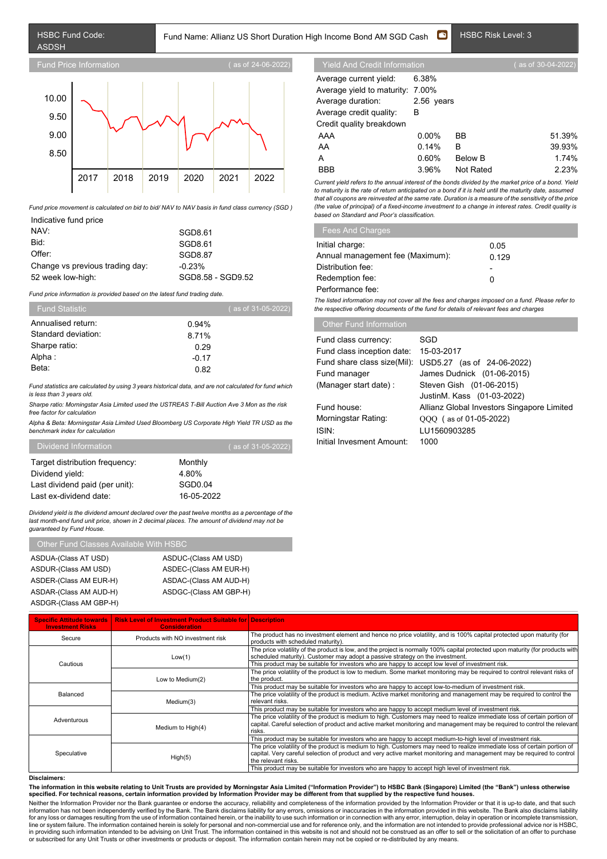# Fund Name: Allianz US Short Duration High Income Bond AM SGD Cash **D** HSBC Risk Level: 3



*Fund price movement is calculated on bid to bid/ NAV to NAV basis in fund class currency (SGD )*

| Indicative fund price           |                   |
|---------------------------------|-------------------|
| NAV:                            | SGD8.61           |
| Bid:                            | SGD8.61           |
| Offer:                          | SGD8.87           |
| Change vs previous trading day: | $-0.23%$          |
| 52 week low-high:               | SGD8.58 - SGD9.52 |

*Fund price information is provided based on the latest fund trading date.*

| <b>Fund Statistic</b> | (as of 31-05-2022) |
|-----------------------|--------------------|
| Annualised return:    | 0.94%              |
| Standard deviation:   | 8.71%              |
| Sharpe ratio:         | 0.29               |
| Alpha :               | $-0.17$            |
| Beta:                 | 0.82               |

*Fund statistics are calculated by using 3 years historical data, and are not calculated for fund which is less than 3 years old.*

*Sharpe ratio: Morningstar Asia Limited used the USTREAS T-Bill Auction Ave 3 Mon as the risk free factor for calculation*

*Alpha & Beta: Morningstar Asia Limited Used Bloomberg US Corporate High Yield TR USD as the benchmark index for calculation*

| Dividend Information           | ( as of 31-05-2022) |  |
|--------------------------------|---------------------|--|
| Target distribution frequency: | Monthly             |  |
| Dividend yield:                | 4.80%               |  |
| Last dividend paid (per unit): | SGD0.04             |  |
| Last ex-dividend date:         | 16-05-2022          |  |

*Dividend yield is the dividend amount declared over the past twelve months as a percentage of the last month-end fund unit price, shown in 2 decimal places. The amount of dividend may not be guaranteed by Fund House.*

# Other Fund Classes Available With HSBC

| ASDUA-(Class AT USD)   | ASDUC-(Class AM USD)   |
|------------------------|------------------------|
| ASDUR-(Class AM USD)   | ASDEC-(Class AM EUR-H) |
| ASDER-(Class AM EUR-H) | ASDAC-(Class AM AUD-H) |
| ASDAR-(Class AM AUD-H) | ASDGC-(Class AM GBP-H) |
| ASDGR-(Class AM GBP-H) |                        |

Average current yield: 6.38% Average yield to maturity: 7.00% Average duration: 2.56 years Average credit quality: B Credit quality breakdown

| BB. | 51.39%                                                           |
|-----|------------------------------------------------------------------|
|     | 39.93%                                                           |
|     | 1 74%                                                            |
|     | 2.23%                                                            |
|     | $0.00\%$<br>$0.14\%$ B<br>0.60%<br>Below B<br>3.96%<br>Not Rated |

*Current yield refers to the annual interest of the bonds divided by the market price of a bond. Yield to maturity is the rate of return anticipated on a bond if it is held until the maturity date, assumed that all coupons are reinvested at the same rate. Duration is a measure of the sensitivity of the price (the value of principal) of a fixed-income investment to a change in interest rates. Credit quality is based on Standard and Poor's classification.*

| <b>Fees And Charges</b>          |       |  |
|----------------------------------|-------|--|
| Initial charge:                  | 0.05  |  |
| Annual management fee (Maximum): | 0.129 |  |
| Distribution fee:                | -     |  |
| Redemption fee:                  | 0     |  |
| Performance fee:                 |       |  |

*The listed information may not cover all the fees and charges imposed on a fund. Please refer to the respective offering documents of the fund for details of relevant fees and charges*

| Fund class currency:        | SGD                                        |
|-----------------------------|--------------------------------------------|
|                             |                                            |
| Fund class inception date:  | 15-03-2017                                 |
| Fund share class size(Mil): | USD5.27 (as of 24-06-2022)                 |
| Fund manager                | James Dudnick (01-06-2015)                 |
| (Manager start date):       | Steven Gish (01-06-2015)                   |
|                             | JustinM. Kass (01-03-2022)                 |
| Fund house:                 | Allianz Global Investors Singapore Limited |
| Morningstar Rating:         | QQQ (as of 01-05-2022)                     |
| ISIN:                       | LU1560903285                               |
| Initial Invesment Amount:   | 1000                                       |
|                             |                                            |

| <b>Specific Attitude towards</b><br><b>Investment Risks</b> | <b>Risk Level of Investment Product Suitable for Description</b><br><b>Consideration</b> |                                                                                                                                                                                                                                                                                                                      |
|-------------------------------------------------------------|------------------------------------------------------------------------------------------|----------------------------------------------------------------------------------------------------------------------------------------------------------------------------------------------------------------------------------------------------------------------------------------------------------------------|
| Secure                                                      | Products with NO investment risk                                                         | The product has no investment element and hence no price volatility, and is 100% capital protected upon maturity (for<br>products with scheduled maturity).                                                                                                                                                          |
| Cautious                                                    | Low(1)                                                                                   | The price volatility of the product is low, and the project is normally 100% capital protected upon maturity (for products with<br>scheduled maturity). Customer may adopt a passive strategy on the investment.<br>This product may be suitable for investors who are happy to accept low level of investment risk. |
|                                                             | Low to Medium(2)                                                                         | The price volatility of the product is low to medium. Some market monitoring may be required to control relevant risks of<br>the product.                                                                                                                                                                            |
| Balanced<br>Adventurous                                     |                                                                                          | This product may be suitable for investors who are happy to accept low-to-medium of investment risk.                                                                                                                                                                                                                 |
|                                                             | Medium(3)                                                                                | The price volatility of the product is medium. Active market monitoring and management may be required to control the<br>relevant risks.                                                                                                                                                                             |
|                                                             |                                                                                          | This product may be suitable for investors who are happy to accept medium level of investment risk.                                                                                                                                                                                                                  |
|                                                             | Medium to High(4)                                                                        | The price volatility of the product is medium to high. Customers may need to realize immediate loss of certain portion of<br>capital. Careful selection of product and active market monitoring and management may be required to control the relevant<br>risks.                                                     |
| Speculative                                                 |                                                                                          | This product may be suitable for investors who are happy to accept medium-to-high level of investment risk.                                                                                                                                                                                                          |
|                                                             | High(5)                                                                                  | The price volatility of the product is medium to high. Customers may need to realize immediate loss of certain portion of<br>capital. Very careful selection of product and very active market monitoring and management may be required to control<br>the relevant risks.                                           |
|                                                             |                                                                                          | This product may be suitable for investors who are happy to accept high level of investment risk.                                                                                                                                                                                                                    |

## **Disclaimers:**

The information in this website relating to Unit Trusts are provided by Morningstar Asia Limited ("Information Provider") to HSBC Bank (Singapore) Limited (the "Bank") unless otherwise<br>specified. For technical reasons, cer

Neither the Information Provider nor the Bank guarantee or endorse the accuracy, reliability and completeness of the information provided by the Information Provider or that it is up-to date, and that such<br>information has for any loss or damages resulting from the use of information contained herein, or the inability to use such information or in connection with any error, interruption, delay in operation or incomplete transmission,<br>line or in providing such information intended to be advising on Unit Trust. The information contained in this website is not and should not be construed as an offer to sell or the solicitation of an offer to purchase<br>or subscribe